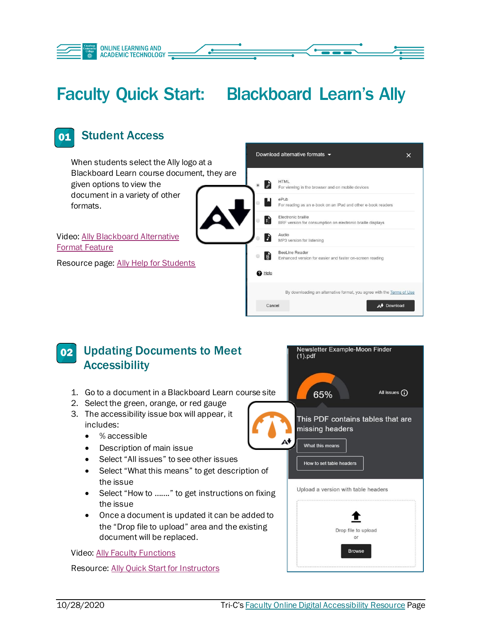

## Faculty Quick Start: Blackboard Learn's Ally





Resource: [Ally Quick Start for Instructors](https://help.blackboard.com/Ally/Ally_for_LMS/Instructor/Quick_Start)